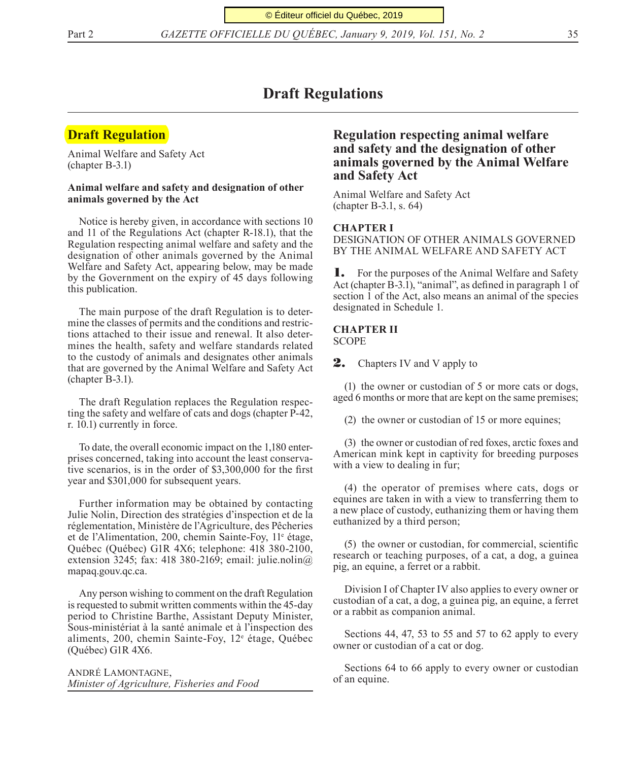Part 2 *GAZETTE OFFICIELLE DU QUÉBEC, January 9, 2019, Vol. 151, No. 2* 35

# **Draft Regulations**

# **Draft Regulation**

Animal Welfare and Safety Act (chapter B-3.1)

## **Animal welfare and safety and designation of other animals governed by the Act**

Notice is hereby given, in accordance with sections 10 and 11 of the Regulations Act (chapter R-18.1), that the Regulation respecting animal welfare and safety and the designation of other animals governed by the Animal Welfare and Safety Act, appearing below, may be made by the Government on the expiry of 45 days following this publication.

The main purpose of the draft Regulation is to determine the classes of permits and the conditions and restrictions attached to their issue and renewal. It also determines the health, safety and welfare standards related to the custody of animals and designates other animals that are governed by the Animal Welfare and Safety Act (chapter B-3.1).

The draft Regulation replaces the Regulation respecting the safety and welfare of cats and dogs (chapter P-42, r. 10.1) currently in force.

To date, the overall economic impact on the 1,180 enterprises concerned, taking into account the least conservative scenarios, is in the order of \$3,300,000 for the first year and \$301,000 for subsequent years.

Further information may be obtained by contacting Julie Nolin, Direction des stratégies d'inspection et de la réglementation, Ministère de l'Agriculture, des Pêcheries et de l'Alimentation, 200, chemin Sainte-Foy, 11<sup>e</sup> étage, Québec (Québec) G1R 4X6; telephone: 418 380-2100, extension 3245; fax: 418 380-2169; email: julie.nolin $\omega$ mapaq.gouv.qc.ca.

Any person wishing to comment on the draft Regulation is requested to submit written comments within the 45-day period to Christine Barthe, Assistant Deputy Minister, Sous-ministériat à la santé animale et à l'inspection des aliments, 200, chemin Sainte-Foy, 12<sup>e</sup> étage, Québec (Québec) G1R 4X6.

André Lamontagne, *Minister of Agriculture, Fisheries and Food*

## **Regulation respecting animal welfare and safety and the designation of other animals governed by the Animal Welfare and Safety Act**

Animal Welfare and Safety Act (chapter B-3.1, s. 64)

#### **CHAPTER I**

DESIGNATION OF OTHER ANIMALS GOVERNED BY THE ANIMAL WELFARE AND SAFETY ACT

**1.** For the purposes of the Animal Welfare and Safety Act (chapter B-3.1), "animal", as defined in paragraph 1 of section 1 of the Act, also means an animal of the species designated in Schedule 1.

#### **CHAPTER II** SCOPE

**2.** Chapters IV and V apply to

(1) the owner or custodian of 5 or more cats or dogs, aged 6 months or more that are kept on the same premises;

(2) the owner or custodian of 15 or more equines;

(3) the owner or custodian of red foxes, arctic foxes and American mink kept in captivity for breeding purposes with a view to dealing in fur;

(4) the operator of premises where cats, dogs or equines are taken in with a view to transferring them to a new place of custody, euthanizing them or having them euthanized by a third person;

(5) the owner or custodian, for commercial, scientific research or teaching purposes, of a cat, a dog, a guinea pig, an equine, a ferret or a rabbit.

Division I of Chapter IV also applies to every owner or custodian of a cat, a dog, a guinea pig, an equine, a ferret or a rabbit as companion animal.

Sections 44, 47, 53 to 55 and 57 to 62 apply to every owner or custodian of a cat or dog.

Sections 64 to 66 apply to every owner or custodian of an equine.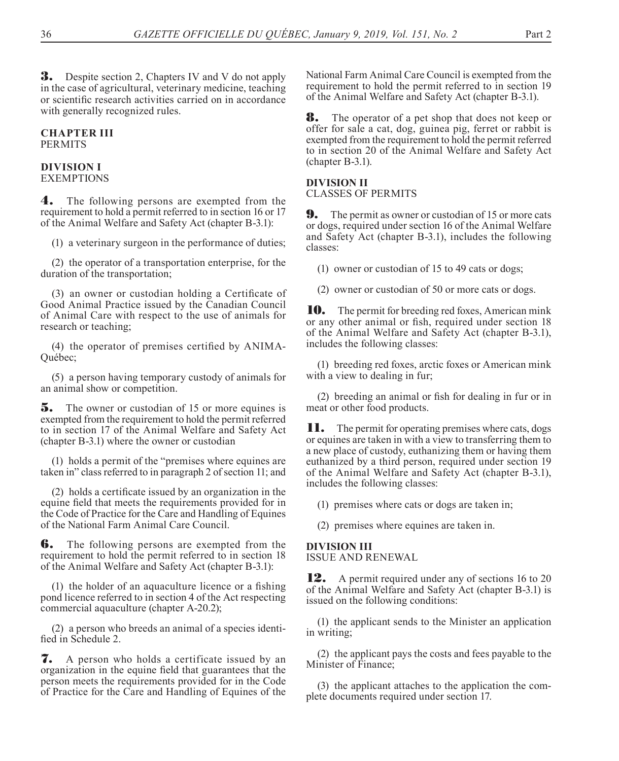**3.** Despite section 2, Chapters IV and V do not apply in the case of agricultural, veterinary medicine, teaching or scientific research activities carried on in accordance with generally recognized rules.

## **CHAPTER III PERMITS**

#### **DIVISION I** EXEMPTIONS

4. The following persons are exempted from the requirement to hold a permit referred to in section 16 or 17 of the Animal Welfare and Safety Act (chapter B-3.1):

(1) a veterinary surgeon in the performance of duties;

(2) the operator of a transportation enterprise, for the duration of the transportation;

(3) an owner or custodian holding a Certificate of Good Animal Practice issued by the Canadian Council of Animal Care with respect to the use of animals for research or teaching;

(4) the operator of premises certified by ANIMA-Québec;

(5) a person having temporary custody of animals for an animal show or competition.

**5.** The owner or custodian of 15 or more equines is exempted from the requirement to hold the permit referred to in section 17 of the Animal Welfare and Safety Act (chapter B-3.1) where the owner or custodian

(1) holds a permit of the "premises where equines are taken in" class referred to in paragraph 2 of section 11; and

(2) holds a certificate issued by an organization in the equine field that meets the requirements provided for in the Code of Practice for the Care and Handling of Equines of the National Farm Animal Care Council.

**6.** The following persons are exempted from the requirement to hold the permit referred to in section 18 of the Animal Welfare and Safety Act (chapter B-3.1):

(1) the holder of an aquaculture licence or a fishing pond licence referred to in section 4 of the Act respecting commercial aquaculture (chapter A-20.2);

(2) a person who breeds an animal of a species identified in Schedule 2.

7. A person who holds a certificate issued by an organization in the equine field that guarantees that the person meets the requirements provided for in the Code of Practice for the Care and Handling of Equines of the

National Farm Animal Care Council is exempted from the requirement to hold the permit referred to in section 19 of the Animal Welfare and Safety Act (chapter B-3.1).

8. The operator of a pet shop that does not keep or offer for sale a cat, dog, guinea pig, ferret or rabbit is exempted from the requirement to hold the permit referred to in section 20 of the Animal Welfare and Safety Act (chapter B-3.1).

## **DIVISION II**

CLASSES OF PERMITS

**9.** The permit as owner or custodian of 15 or more cats or dogs, required under section 16 of the Animal Welfare and Safety Act (chapter B-3.1), includes the following classes:

(1) owner or custodian of 15 to 49 cats or dogs;

(2) owner or custodian of 50 or more cats or dogs.

10. The permit for breeding red foxes, American mink or any other animal or fish, required under section 18 of the Animal Welfare and Safety Act (chapter B-3.1), includes the following classes:

(1) breeding red foxes, arctic foxes or American mink with a view to dealing in fur;

(2) breeding an animal or fish for dealing in fur or in meat or other food products.

**11.** The permit for operating premises where cats, dogs or equines are taken in with a view to transferring them to a new place of custody, euthanizing them or having them euthanized by a third person, required under section 19 of the Animal Welfare and Safety Act (chapter B-3.1), includes the following classes:

(1) premises where cats or dogs are taken in;

(2) premises where equines are taken in.

## **DIVISION III**

ISSUE AND RENEWAL

**12.** A permit required under any of sections 16 to 20 of the Animal Welfare and Safety Act (chapter B-3.1) is issued on the following conditions:

(1) the applicant sends to the Minister an application in writing;

(2) the applicant pays the costs and fees payable to the Minister of Finance;

(3) the applicant attaches to the application the complete documents required under section 17.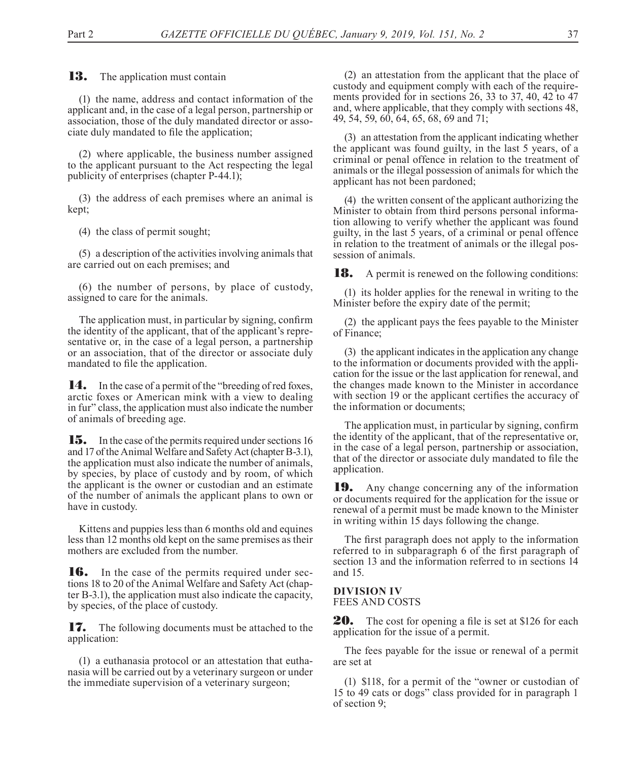**13.** The application must contain

(1) the name, address and contact information of the applicant and, in the case of a legal person, partnership or association, those of the duly mandated director or associate duly mandated to file the application;

(2) where applicable, the business number assigned to the applicant pursuant to the Act respecting the legal publicity of enterprises (chapter P-44.1);

(3) the address of each premises where an animal is kept;

(4) the class of permit sought;

(5) a description of the activities involving animals that are carried out on each premises; and

(6) the number of persons, by place of custody, assigned to care for the animals.

The application must, in particular by signing, confirm the identity of the applicant, that of the applicant's representative or, in the case of a legal person, a partnership or an association, that of the director or associate duly mandated to file the application.

14. In the case of a permit of the "breeding of red foxes, arctic foxes or American mink with a view to dealing in fur" class, the application must also indicate the number of animals of breeding age.

**15.** In the case of the permits required under sections 16 and 17 of the Animal Welfare and Safety Act (chapter B-3.1), the application must also indicate the number of animals, by species, by place of custody and by room, of which the applicant is the owner or custodian and an estimate of the number of animals the applicant plans to own or have in custody.

Kittens and puppies less than 6 months old and equines less than 12 months old kept on the same premises as their mothers are excluded from the number.

**16.** In the case of the permits required under sections 18 to 20 of the Animal Welfare and Safety Act (chapter B-3.1), the application must also indicate the capacity, by species, of the place of custody.

**17.** The following documents must be attached to the application:

(1) a euthanasia protocol or an attestation that euthanasia will be carried out by a veterinary surgeon or under the immediate supervision of a veterinary surgeon;

(2) an attestation from the applicant that the place of custody and equipment comply with each of the requirements provided for in sections 26, 33 to 37, 40, 42 to 47 and, where applicable, that they comply with sections 48, 49, 54, 59, 60, 64, 65, 68, 69 and 71;

(3) an attestation from the applicant indicating whether the applicant was found guilty, in the last 5 years, of a criminal or penal offence in relation to the treatment of animals or the illegal possession of animals for which the applicant has not been pardoned;

(4) the written consent of the applicant authorizing the Minister to obtain from third persons personal information allowing to verify whether the applicant was found guilty, in the last 5 years, of a criminal or penal offence in relation to the treatment of animals or the illegal possession of animals.

**18.** A permit is renewed on the following conditions:

(1) its holder applies for the renewal in writing to the Minister before the expiry date of the permit;

(2) the applicant pays the fees payable to the Minister of Finance;

(3) the applicant indicates in the application any change to the information or documents provided with the application for the issue or the last application for renewal, and the changes made known to the Minister in accordance with section 19 or the applicant certifies the accuracy of the information or documents;

The application must, in particular by signing, confirm the identity of the applicant, that of the representative or, in the case of a legal person, partnership or association, that of the director or associate duly mandated to file the application.

19. Any change concerning any of the information or documents required for the application for the issue or renewal of a permit must be made known to the Minister in writing within 15 days following the change.

The first paragraph does not apply to the information referred to in subparagraph 6 of the first paragraph of section 13 and the information referred to in sections 14 and 15.

## **DIVISION IV** FEES AND COSTS

**20.** The cost for opening a file is set at \$126 for each application for the issue of a permit.

The fees payable for the issue or renewal of a permit are set at

(1) \$118, for a permit of the "owner or custodian of 15 to 49 cats or dogs" class provided for in paragraph 1 of section 9;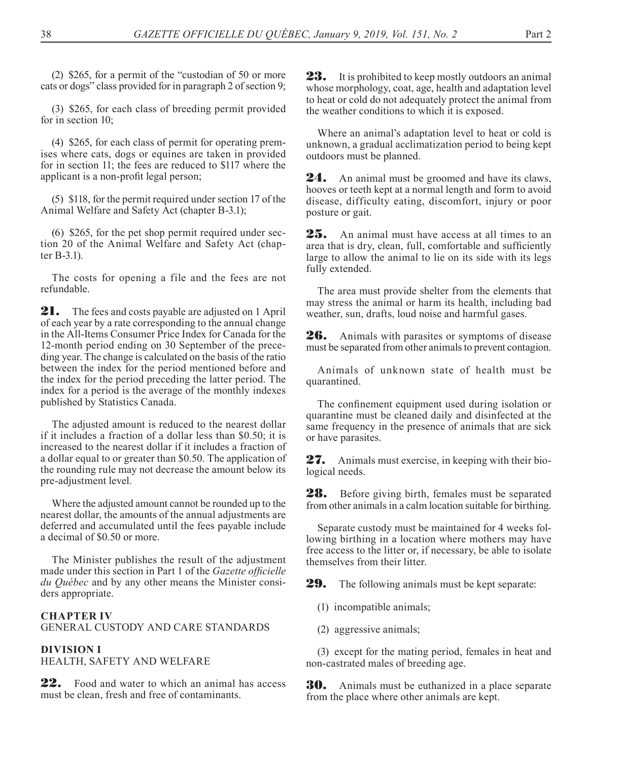(2) \$265, for a permit of the "custodian of 50 or more cats or dogs" class provided for in paragraph 2 of section 9;

(3) \$265, for each class of breeding permit provided for in section 10;

(4) \$265, for each class of permit for operating premises where cats, dogs or equines are taken in provided for in section 11; the fees are reduced to \$117 where the applicant is a non-profit legal person;

(5) \$118, for the permit required under section 17 of the Animal Welfare and Safety Act (chapter B-3.1);

(6) \$265, for the pet shop permit required under section 20 of the Animal Welfare and Safety Act (chapter B-3.1).

The costs for opening a file and the fees are not refundable.

**21.** The fees and costs payable are adjusted on 1 April of each year by a rate corresponding to the annual change in the All-Items Consumer Price Index for Canada for the 12-month period ending on 30 September of the preceding year. The change is calculated on the basis of the ratio between the index for the period mentioned before and the index for the period preceding the latter period. The index for a period is the average of the monthly indexes published by Statistics Canada.

The adjusted amount is reduced to the nearest dollar if it includes a fraction of a dollar less than \$0.50; it is increased to the nearest dollar if it includes a fraction of a dollar equal to or greater than \$0.50. The application of the rounding rule may not decrease the amount below its pre-adjustment level.

Where the adjusted amount cannot be rounded up to the nearest dollar, the amounts of the annual adjustments are deferred and accumulated until the fees payable include a decimal of \$0.50 or more.

The Minister publishes the result of the adjustment made under this section in Part 1 of the *Gazette officielle du Québec* and by any other means the Minister considers appropriate.

## **CHAPTER IV** GENERAL CUSTODY AND CARE STANDARDS

## **DIVISION I**

HEALTH, SAFETY AND WELFARE

**22.** Food and water to which an animal has access must be clean, fresh and free of contaminants.

**23.** It is prohibited to keep mostly outdoors an animal whose morphology, coat, age, health and adaptation level to heat or cold do not adequately protect the animal from the weather conditions to which it is exposed.

Where an animal's adaptation level to heat or cold is unknown, a gradual acclimatization period to being kept outdoors must be planned.

**24.** An animal must be groomed and have its claws, hooves or teeth kept at a normal length and form to avoid disease, difficulty eating, discomfort, injury or poor posture or gait.

25. An animal must have access at all times to an area that is dry, clean, full, comfortable and sufficiently large to allow the animal to lie on its side with its legs fully extended.

The area must provide shelter from the elements that may stress the animal or harm its health, including bad weather, sun, drafts, loud noise and harmful gases.

26. Animals with parasites or symptoms of disease must be separated from other animals to prevent contagion.

Animals of unknown state of health must be quarantined.

The confinement equipment used during isolation or quarantine must be cleaned daily and disinfected at the same frequency in the presence of animals that are sick or have parasites.

27. Animals must exercise, in keeping with their biological needs.

28. Before giving birth, females must be separated from other animals in a calm location suitable for birthing.

Separate custody must be maintained for 4 weeks following birthing in a location where mothers may have free access to the litter or, if necessary, be able to isolate themselves from their litter.

29. The following animals must be kept separate:

- (1) incompatible animals;
- (2) aggressive animals;

(3) except for the mating period, females in heat and non-castrated males of breeding age.

**30.** Animals must be euthanized in a place separate from the place where other animals are kept.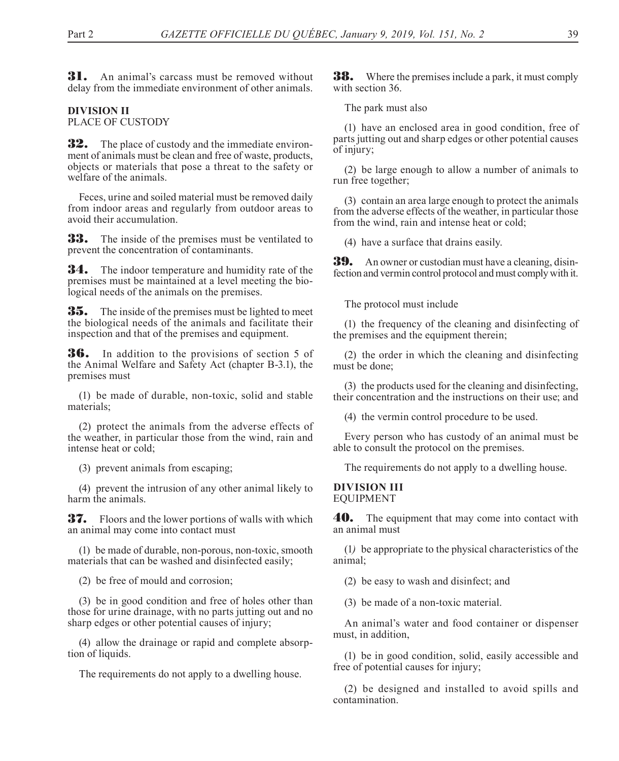**31.** An animal's carcass must be removed without delay from the immediate environment of other animals.

#### **DIVISION II** PLACE OF CUSTODY

**32.** The place of custody and the immediate environment of animals must be clean and free of waste, products, objects or materials that pose a threat to the safety or welfare of the animals.

Feces, urine and soiled material must be removed daily from indoor areas and regularly from outdoor areas to avoid their accumulation.

**33.** The inside of the premises must be ventilated to prevent the concentration of contaminants.

**34.** The indoor temperature and humidity rate of the premises must be maintained at a level meeting the biological needs of the animals on the premises.

**35.** The inside of the premises must be lighted to meet the biological needs of the animals and facilitate their inspection and that of the premises and equipment.

**36.** In addition to the provisions of section 5 of the Animal Welfare and Safety Act (chapter B-3.1), the premises must

(1) be made of durable, non-toxic, solid and stable materials;

(2) protect the animals from the adverse effects of the weather, in particular those from the wind, rain and intense heat or cold;

(3) prevent animals from escaping;

(4) prevent the intrusion of any other animal likely to harm the animals.

37. Floors and the lower portions of walls with which an animal may come into contact must

(1) be made of durable, non-porous, non-toxic, smooth materials that can be washed and disinfected easily;

(2) be free of mould and corrosion;

(3) be in good condition and free of holes other than those for urine drainage, with no parts jutting out and no sharp edges or other potential causes of injury;

(4) allow the drainage or rapid and complete absorption of liquids.

The requirements do not apply to a dwelling house.

**38.** Where the premises include a park, it must comply with section 36.

The park must also

(1) have an enclosed area in good condition, free of parts jutting out and sharp edges or other potential causes of injury;

(2) be large enough to allow a number of animals to run free together;

(3) contain an area large enough to protect the animals from the adverse effects of the weather, in particular those from the wind, rain and intense heat or cold;

(4) have a surface that drains easily.

**39.** An owner or custodian must have a cleaning, disinfection and vermin control protocol and must comply with it.

The protocol must include

(1) the frequency of the cleaning and disinfecting of the premises and the equipment therein;

(2) the order in which the cleaning and disinfecting must be done;

(3) the products used for the cleaning and disinfecting, their concentration and the instructions on their use; and

(4) the vermin control procedure to be used.

Every person who has custody of an animal must be able to consult the protocol on the premises.

The requirements do not apply to a dwelling house.

#### **DIVISION III** EQUIPMENT

**40.** The equipment that may come into contact with an animal must

(1*)* be appropriate to the physical characteristics of the animal;

(2) be easy to wash and disinfect; and

(3) be made of a non-toxic material.

An animal's water and food container or dispenser must, in addition,

(1) be in good condition, solid, easily accessible and free of potential causes for injury;

(2) be designed and installed to avoid spills and contamination.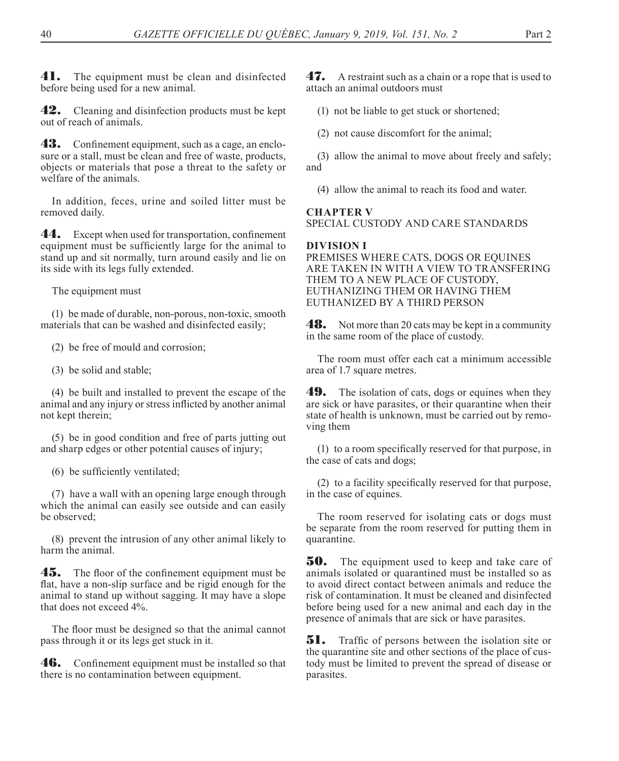**41.** The equipment must be clean and disinfected before being used for a new animal.

42. Cleaning and disinfection products must be kept out of reach of animals.

**43.** Confinement equipment, such as a cage, an enclosure or a stall, must be clean and free of waste, products, objects or materials that pose a threat to the safety or welfare of the animals.

In addition, feces, urine and soiled litter must be removed daily.

44. Except when used for transportation, confinement equipment must be sufficiently large for the animal to stand up and sit normally, turn around easily and lie on its side with its legs fully extended.

The equipment must

(1) be made of durable, non-porous, non-toxic, smooth materials that can be washed and disinfected easily;

(2) be free of mould and corrosion;

(3) be solid and stable;

(4) be built and installed to prevent the escape of the animal and any injury or stress inflicted by another animal not kept therein;

(5) be in good condition and free of parts jutting out and sharp edges or other potential causes of injury;

(6) be sufficiently ventilated;

(7) have a wall with an opening large enough through which the animal can easily see outside and can easily be observed;

(8) prevent the intrusion of any other animal likely to harm the animal.

**45.** The floor of the confinement equipment must be flat, have a non-slip surface and be rigid enough for the animal to stand up without sagging. It may have a slope that does not exceed 4%.

The floor must be designed so that the animal cannot pass through it or its legs get stuck in it.

46. Confinement equipment must be installed so that there is no contamination between equipment.

47. A restraint such as a chain or a rope that is used to attach an animal outdoors must

(1) not be liable to get stuck or shortened;

(2) not cause discomfort for the animal;

(3) allow the animal to move about freely and safely; and

(4) allow the animal to reach its food and water.

## **CHAPTER V**

SPECIAL CUSTODY AND CARE STANDARDS

### **DIVISION I**

PREMISES WHERE CATS, DOGS OR EQUINES ARE TAKEN IN WITH A VIEW TO TRANSFERING THEM TO A NEW PLACE OF CUSTODY, EUTHANIZING THEM OR HAVING THEM EUTHANIZED BY A THIRD PERSON

**48.** Not more than 20 cats may be kept in a community in the same room of the place of custody.

The room must offer each cat a minimum accessible area of 1.7 square metres.

**49.** The isolation of cats, dogs or equines when they are sick or have parasites, or their quarantine when their state of health is unknown, must be carried out by removing them

(1) to a room specifically reserved for that purpose, in the case of cats and dogs;

(2) to a facility specifically reserved for that purpose, in the case of equines.

The room reserved for isolating cats or dogs must be separate from the room reserved for putting them in quarantine.

**50.** The equipment used to keep and take care of animals isolated or quarantined must be installed so as to avoid direct contact between animals and reduce the risk of contamination. It must be cleaned and disinfected before being used for a new animal and each day in the presence of animals that are sick or have parasites.

**51.** Traffic of persons between the isolation site or the quarantine site and other sections of the place of custody must be limited to prevent the spread of disease or parasites.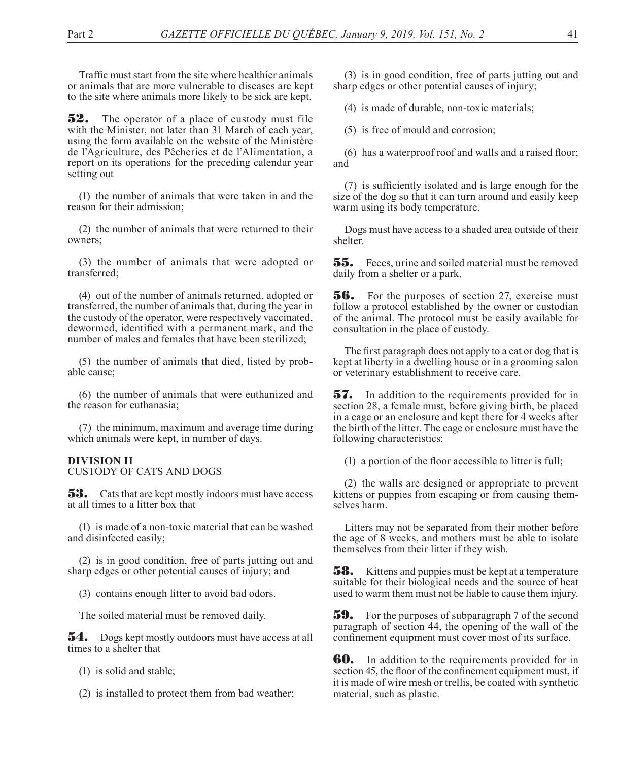Traffic must start from the site where healthier animals or animals that are more vulnerable to diseases are kept to the site where animals more likely to be sick are kept.

**52.** The operator of a place of custody must file with the Minister, not later than 31 March of each year, using the form available on the website of the Ministère de l'Agriculture, des Pêcheries et de l'Alimentation, a report on its operations for the preceding calendar year setting out

(1) the number of animals that were taken in and the reason for their admission;

(2) the number of animals that were returned to their owners;

(3) the number of animals that were adopted or transferred;

(4) out of the number of animals returned, adopted or transferred, the number of animals that, during the year in the custody of the operator, were respectively vaccinated, dewormed, identified with a permanent mark, and the number of males and females that have been sterilized;

(5) the number of animals that died, listed by probable cause;

(6) the number of animals that were euthanized and the reason for euthanasia;

(7) the minimum, maximum and average time during which animals were kept, in number of days.

#### **DIVISION II** CUSTODY OF CATS AND DOGS

**53.** Cats that are kept mostly indoors must have access at all times to a litter box that

(1) is made of a non-toxic material that can be washed and disinfected easily;

(2) is in good condition, free of parts jutting out and sharp edges or other potential causes of injury; and

(3) contains enough litter to avoid bad odors.

The soiled material must be removed daily.

**54.** Dogs kept mostly outdoors must have access at all times to a shelter that

(1) is solid and stable;

(2) is installed to protect them from bad weather;

(3) is in good condition, free of parts jutting out and sharp edges or other potential causes of injury;

(4) is made of durable, non-toxic materials;

(5) is free of mould and corrosion;

(6) has a waterproof roof and walls and a raised floor; and

(7) is sufficiently isolated and is large enough for the size of the dog so that it can turn around and easily keep warm using its body temperature.

Dogs must have access to a shaded area outside of their shelter.

**55.** Feces, urine and soiled material must be removed daily from a shelter or a park.

**56.** For the purposes of section 27, exercise must follow a protocol established by the owner or custodian of the animal. The protocol must be easily available for consultation in the place of custody.

The first paragraph does not apply to a cat or dog that is kept at liberty in a dwelling house or in a grooming salon or veterinary establishment to receive care.

57. In addition to the requirements provided for in section 28, a female must, before giving birth, be placed in a cage or an enclosure and kept there for 4 weeks after the birth of the litter. The cage or enclosure must have the following characteristics:

(1) a portion of the floor accessible to litter is full;

(2) the walls are designed or appropriate to prevent kittens or puppies from escaping or from causing themselves harm.

Litters may not be separated from their mother before the age of 8 weeks, and mothers must be able to isolate themselves from their litter if they wish.

**58.** Kittens and puppies must be kept at a temperature suitable for their biological needs and the source of heat used to warm them must not be liable to cause them injury.

**59.** For the purposes of subparagraph 7 of the second paragraph of section 44, the opening of the wall of the confinement equipment must cover most of its surface.

**60.** In addition to the requirements provided for in section 45, the floor of the confinement equipment must, if it is made of wire mesh or trellis, be coated with synthetic material, such as plastic.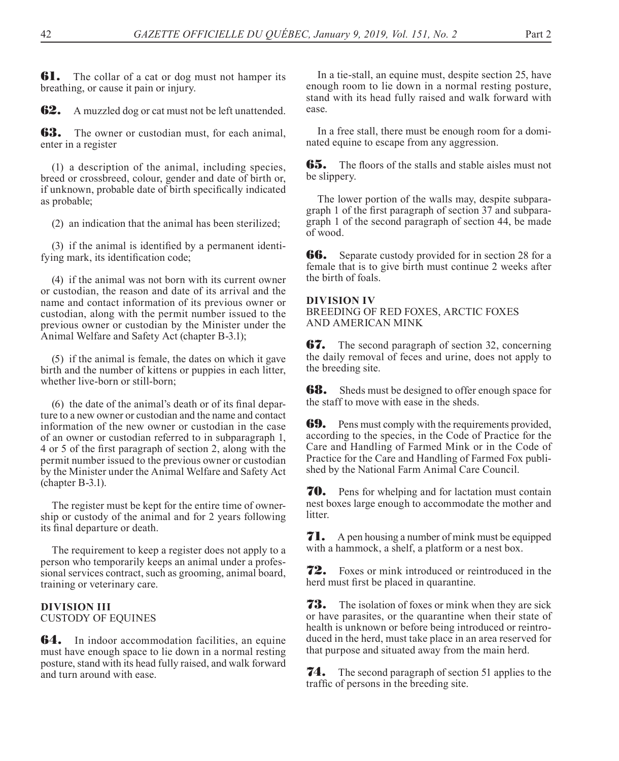**61.** The collar of a cat or dog must not hamper its breathing, or cause it pain or injury.

**62.** A muzzled dog or cat must not be left unattended.

**63.** The owner or custodian must, for each animal, enter in a register

(1) a description of the animal, including species, breed or crossbreed, colour, gender and date of birth or, if unknown, probable date of birth specifically indicated as probable;

(2) an indication that the animal has been sterilized;

(3) if the animal is identified by a permanent identifying mark, its identification code;

(4) if the animal was not born with its current owner or custodian, the reason and date of its arrival and the name and contact information of its previous owner or custodian, along with the permit number issued to the previous owner or custodian by the Minister under the Animal Welfare and Safety Act (chapter B-3.1);

(5) if the animal is female, the dates on which it gave birth and the number of kittens or puppies in each litter, whether live-born or still-born;

(6) the date of the animal's death or of its final departure to a new owner or custodian and the name and contact information of the new owner or custodian in the case of an owner or custodian referred to in subparagraph 1, 4 or 5 of the first paragraph of section 2, along with the permit number issued to the previous owner or custodian by the Minister under the Animal Welfare and Safety Act (chapter B-3.1).

The register must be kept for the entire time of ownership or custody of the animal and for 2 years following its final departure or death.

The requirement to keep a register does not apply to a person who temporarily keeps an animal under a professional services contract, such as grooming, animal board, training or veterinary care.

## **DIVISION III** CUSTODY OF EQUINES

**64.** In indoor accommodation facilities, an equine must have enough space to lie down in a normal resting posture, stand with its head fully raised, and walk forward and turn around with ease.

In a tie-stall, an equine must, despite section 25, have enough room to lie down in a normal resting posture, stand with its head fully raised and walk forward with ease.

In a free stall, there must be enough room for a dominated equine to escape from any aggression.

**65.** The floors of the stalls and stable aisles must not be slippery.

The lower portion of the walls may, despite subparagraph 1 of the first paragraph of section 37 and subparagraph 1 of the second paragraph of section 44, be made of wood.

**66.** Separate custody provided for in section 28 for a female that is to give birth must continue 2 weeks after the birth of foals.

## **DIVISION IV**

BREEDING OF RED FOXES, ARCTIC FOXES AND AMERICAN MINK

**67.** The second paragraph of section 32, concerning the daily removal of feces and urine, does not apply to the breeding site.

**68.** Sheds must be designed to offer enough space for the staff to move with ease in the sheds.

**69.** Pens must comply with the requirements provided, according to the species, in the Code of Practice for the Care and Handling of Farmed Mink or in the Code of Practice for the Care and Handling of Farmed Fox published by the National Farm Animal Care Council.

**70.** Pens for whelping and for lactation must contain nest boxes large enough to accommodate the mother and litter.

**71.** A pen housing a number of mink must be equipped with a hammock, a shelf, a platform or a nest box.

**72.** Foxes or mink introduced or reintroduced in the herd must first be placed in quarantine.

**73.** The isolation of foxes or mink when they are sick or have parasites, or the quarantine when their state of health is unknown or before being introduced or reintroduced in the herd, must take place in an area reserved for that purpose and situated away from the main herd.

**74.** The second paragraph of section 51 applies to the traffic of persons in the breeding site.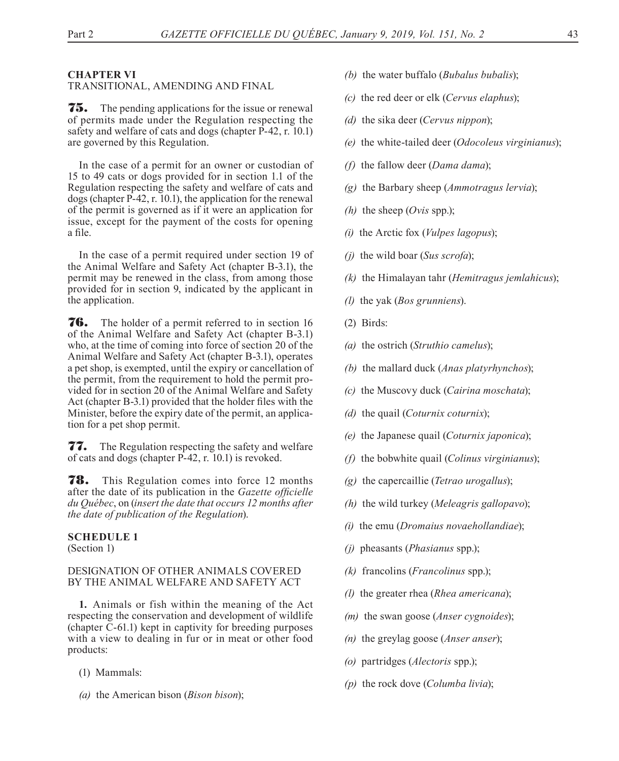#### **CHAPTER VI**

#### TRANSITIONAL, AMENDING AND FINAL

75. The pending applications for the issue or renewal of permits made under the Regulation respecting the safety and welfare of cats and dogs (chapter P-42, r. 10.1) are governed by this Regulation.

In the case of a permit for an owner or custodian of 15 to 49 cats or dogs provided for in section 1.1 of the Regulation respecting the safety and welfare of cats and dogs (chapter P-42, r. 10.1), the application for the renewal of the permit is governed as if it were an application for issue, except for the payment of the costs for opening a file.

In the case of a permit required under section 19 of the Animal Welfare and Safety Act (chapter B-3.1), the permit may be renewed in the class, from among those provided for in section 9, indicated by the applicant in the application.

76. The holder of a permit referred to in section 16 of the Animal Welfare and Safety Act (chapter B-3.1) who, at the time of coming into force of section 20 of the Animal Welfare and Safety Act (chapter B-3.1), operates a pet shop, is exempted, until the expiry or cancellation of the permit, from the requirement to hold the permit provided for in section 20 of the Animal Welfare and Safety Act (chapter B-3.1) provided that the holder files with the Minister, before the expiry date of the permit, an application for a pet shop permit.

77. The Regulation respecting the safety and welfare of cats and dogs (chapter P-42, r. 10.1) is revoked.

78. This Regulation comes into force 12 months after the date of its publication in the *Gazette officielle du Québec*, on (*insert the date that occurs 12 months after the date of publication of the Regulation*).

#### **SCHEDULE 1**

(Section 1)

## DESIGNATION OF OTHER ANIMALS COVERED BY THE ANIMAL WELFARE AND SAFETY ACT

**1.** Animals or fish within the meaning of the Act respecting the conservation and development of wildlife (chapter C-61.1) kept in captivity for breeding purposes with a view to dealing in fur or in meat or other food products:

- (1) Mammals:
- *(a)* the American bison (*Bison bison*);
- *(b)* the water buffalo (*Bubalus bubalis*);
- *(c)* the red deer or elk (*Cervus elaphus*);
- *(d)* the sika deer (*Cervus nippon*);
- *(e)* the white-tailed deer (*Odocoleus virginianus*);
- *(f)* the fallow deer (*Dama dama*);
- *(g)* the Barbary sheep (*Ammotragus lervia*);
- *(h)* the sheep (*Ovis* spp.);
- *(i)* the Arctic fox (*Vulpes lagopus*);
- *(j)* the wild boar (*Sus scrofa*);
- *(k)* the Himalayan tahr (*Hemitragus jemlahicus*);
- *(l)* the yak (*Bos grunniens*).
- (2) Birds:
- *(a)* the ostrich (*Struthio camelus*);
- *(b)* the mallard duck (*Anas platyrhynchos*);
- *(c)* the Muscovy duck (*Cairina moschata*);
- *(d)* the quail (*Coturnix coturnix*);
- *(e)* the Japanese quail (*Coturnix japonica*);
- *(f)* the bobwhite quail (*Colinus virginianus*);
- *(g)* the capercaillie (*Tetrao urogallus*);
- *(h)* the wild turkey (*Meleagris gallopavo*);
- *(i)* the emu (*Dromaius novaehollandiae*);
- *(j)* pheasants (*Phasianus* spp.);
- *(k)* francolins (*Francolinus* spp.);
- *(l)* the greater rhea (*Rhea americana*);
- *(m)* the swan goose (*Anser cygnoides*);
- *(n)* the greylag goose (*Anser anser*);
- *(o)* partridges (*Alectoris* spp.);
- *(p)* the rock dove (*Columba livia*);